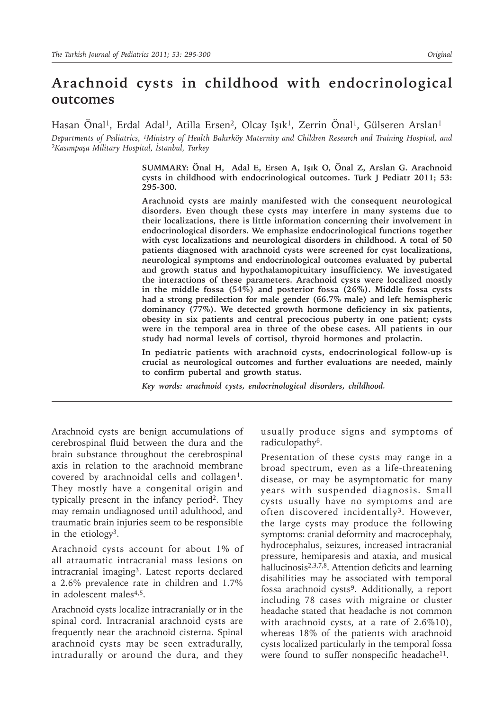# **Arachnoid cysts in childhood with endocrinological outcomes**

Hasan Önal<sup>1</sup>, Erdal Adal<sup>1</sup>, Atilla Ersen<sup>2</sup>, Olcay Işık<sup>1</sup>, Zerrin Önal<sup>1</sup>, Gülseren Arslan<sup>1</sup>

Departments of Pediatrics, <sup>1</sup>Ministry of Health Bakırköy Maternity and Children Research and Training Hospital, and<br><sup>2</sup>Kasımpaşa Military Hospital, İstanbul, Turkey

**SUMMARY: Önal H, Adal E, Ersen A, Işık O, Önal Z, Arslan G. Arachnoid cysts in childhood with endocrinological outcomes. Turk J Pediatr 2011; 53: 295-300.**

**Arachnoid cysts are mainly manifested with the consequent neurological disorders. Even though these cysts may interfere in many systems due to their localizations, there is little information concerning their involvement in endocrinological disorders. We emphasize endocrinological functions together with cyst localizations and neurological disorders in childhood. A total of 50 patients diagnosed with arachnoid cysts were screened for cyst localizations, neurological symptoms and endocrinological outcomes evaluated by pubertal and growth status and hypothalamopituitary insufficiency. We investigated the interactions of these parameters. Arachnoid cysts were localized mostly in the middle fossa (54%) and posterior fossa (26%). Middle fossa cysts had a strong predilection for male gender (66.7% male) and left hemispheric dominancy (77%). We detected growth hormone deficiency in six patients, obesity in six patients and central precocious puberty in one patient; cysts were in the temporal area in three of the obese cases. All patients in our study had normal levels of cortisol, thyroid hormones and prolactin.** 

**In pediatric patients with arachnoid cysts, endocrinological follow-up is crucial as neurological outcomes and further evaluations are needed, mainly to confirm pubertal and growth status.**

*Key words: arachnoid cysts, endocrinological disorders, childhood.*

Arachnoid cysts are benign accumulations of cerebrospinal fluid between the dura and the brain substance throughout the cerebrospinal axis in relation to the arachnoid membrane covered by arachnoidal cells and collagen<sup>1</sup>. They mostly have a congenital origin and typically present in the infancy period2. They may remain undiagnosed until adulthood, and traumatic brain injuries seem to be responsible in the etiology3.

Arachnoid cysts account for about 1% of all atraumatic intracranial mass lesions on intracranial imaging3. Latest reports declared a 2.6% prevalence rate in children and 1.7% in adolescent males<sup>4,5</sup>.

Arachnoid cysts localize intracranially or in the spinal cord. Intracranial arachnoid cysts are frequently near the arachnoid cisterna. Spinal arachnoid cysts may be seen extradurally, intradurally or around the dura, and they usually produce signs and symptoms of radiculopathy<sup>6</sup>.

Presentation of these cysts may range in a broad spectrum, even as a life-threatening disease, or may be asymptomatic for many years with suspended diagnosis. Small cysts usually have no symptoms and are often discovered incidentally<sup>3</sup>. However, the large cysts may produce the following symptoms: cranial deformity and macrocephaly, hydrocephalus, seizures, increased intracranial pressure, hemiparesis and ataxia, and musical hallucinosis2,3,7,8. Attention deficits and learning disabilities may be associated with temporal fossa arachnoid cysts<sup>9</sup>. Additionally, a report including 78 cases with migraine or cluster headache stated that headache is not common with arachnoid cysts, at a rate of 2.6%10), whereas 18% of the patients with arachnoid cysts localized particularly in the temporal fossa were found to suffer nonspecific headache<sup>11</sup>.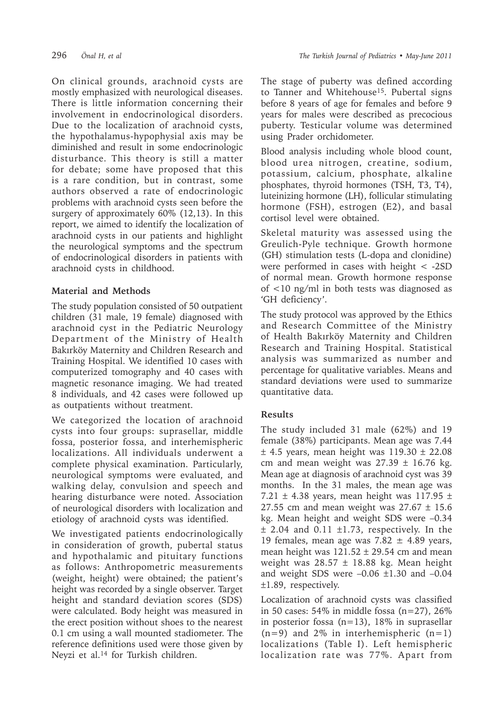On clinical grounds, arachnoid cysts are mostly emphasized with neurological diseases. There is little information concerning their involvement in endocrinological disorders. Due to the localization of arachnoid cysts, the hypothalamus-hypophysial axis may be diminished and result in some endocrinologic disturbance. This theory is still a matter for debate; some have proposed that this is a rare condition, but in contrast, some authors observed a rate of endocrinologic problems with arachnoid cysts seen before the surgery of approximately 60% (12,13). In this report, we aimed to identify the localization of arachnoid cysts in our patients and highlight the neurological symptoms and the spectrum of endocrinological disorders in patients with arachnoid cysts in childhood.

### **Material and Methods**

The study population consisted of 50 outpatient children (31 male, 19 female) diagnosed with arachnoid cyst in the Pediatric Neurology Department of the Ministry of Health Bakırköy Maternity and Children Research and Training Hospital. We identified 10 cases with computerized tomography and 40 cases with magnetic resonance imaging. We had treated 8 individuals, and 42 cases were followed up as outpatients without treatment.

We categorized the location of arachnoid cysts into four groups: suprasellar, middle fossa, posterior fossa, and interhemispheric localizations. All individuals underwent a complete physical examination. Particularly, neurological symptoms were evaluated, and walking delay, convulsion and speech and hearing disturbance were noted. Association of neurological disorders with localization and etiology of arachnoid cysts was identified.

We investigated patients endocrinologically in consideration of growth, pubertal status and hypothalamic and pituitary functions as follows: Anthropometric measurements (weight, height) were obtained; the patient's height was recorded by a single observer. Target height and standard deviation scores (SDS) were calculated. Body height was measured in the erect position without shoes to the nearest 0.1 cm using a wall mounted stadiometer. The reference definitions used were those given by Neyzi et al.<sup>14</sup> for Turkish children.

The stage of puberty was defined according to Tanner and Whitehouse<sup>15</sup>. Pubertal signs before 8 years of age for females and before 9 years for males were described as precocious puberty. Testicular volume was determined using Prader orchidometer.

Blood analysis including whole blood count, blood urea nitrogen, creatine, sodium, potassium, calcium, phosphate, alkaline phosphates, thyroid hormones (TSH, T3, T4), luteinizing hormone (LH), follicular stimulating hormone (FSH), estrogen (E2), and basal cortisol level were obtained.

Skeletal maturity was assessed using the Greulich-Pyle technique. Growth hormone (GH) stimulation tests (L-dopa and clonidine) were performed in cases with height  $\langle$  -2SD of normal mean. Growth hormone response of <10 ng/ml in both tests was diagnosed as 'GH deficiency'.

The study protocol was approved by the Ethics and Research Committee of the Ministry of Health Bakırköy Maternity and Children Research and Training Hospital. Statistical analysis was summarized as number and percentage for qualitative variables. Means and standard deviations were used to summarize quantitative data.

## **Results**

The study included 31 male (62%) and 19 female (38%) participants. Mean age was 7.44  $±$  4.5 years, mean height was 119.30  $±$  22.08 cm and mean weight was  $27.39 \pm 16.76$  kg. Mean age at diagnosis of arachnoid cyst was 39 months. In the 31 males, the mean age was 7.21  $\pm$  4.38 years, mean height was 117.95  $\pm$ 27.55 cm and mean weight was  $27.67 \pm 15.6$ kg. Mean height and weight SDS were –0.34  $±$  2.04 and 0.11  $±1.73$ , respectively. In the 19 females, mean age was  $7.82 \pm 4.89$  years, mean height was  $121.52 \pm 29.54$  cm and mean weight was  $28.57 \pm 18.88$  kg. Mean height and weight SDS were  $-0.06 \pm 1.30$  and  $-0.04$ ±1.89, respectively.

Localization of arachnoid cysts was classified in 50 cases:  $54\%$  in middle fossa (n=27), 26% in posterior fossa (n=13), 18% in suprasellar  $(n=9)$  and 2% in interhemispheric  $(n=1)$ localizations (Table I). Left hemispheric localization rate was 77%. Apart from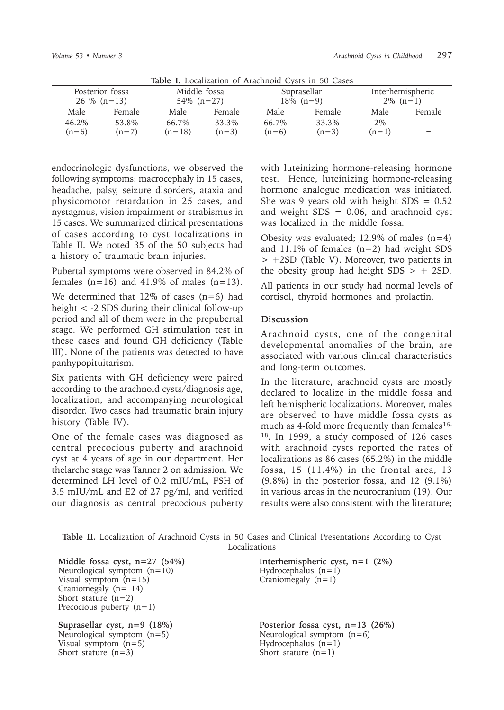| <b>Table 1.</b> Localization of Arachhold Cysts in 50 Cases |         |                               |         |                             |         |                                 |                          |  |
|-------------------------------------------------------------|---------|-------------------------------|---------|-----------------------------|---------|---------------------------------|--------------------------|--|
| Posterior fossa<br>$26\%$ (n=13)                            |         | Middle fossa<br>$54\%$ (n=27) |         | Suprasellar<br>$18\%$ (n=9) |         | Interhemispheric<br>$2\%$ (n=1) |                          |  |
| Male                                                        | Female  | Male                          | Female  | Male                        | Female  | Male                            | Female                   |  |
| 46.2%                                                       | 53.8%   | 66.7%                         | 33.3%   | 66.7%                       | 33.3%   | $2\%$                           |                          |  |
| $(n=6)$                                                     | $(n=7)$ | $(n=18)$                      | $(n=3)$ | $(n=6)$                     | $(n=3)$ | $(n=1)$                         | $\overline{\phantom{a}}$ |  |

**Table I.** Localization of Arachnoid Cysts in 50 Cases

endocrinologic dysfunctions, we observed the following symptoms: macrocephaly in 15 cases, headache, palsy, seizure disorders, ataxia and physicomotor retardation in 25 cases, and nystagmus, vision impairment or strabismus in 15 cases. We summarized clinical presentations of cases according to cyst localizations in Table II. We noted 35 of the 50 subjects had a history of traumatic brain injuries.

Pubertal symptoms were observed in 84.2% of females  $(n=16)$  and 41.9% of males  $(n=13)$ .

We determined that  $12\%$  of cases (n=6) had height < -2 SDS during their clinical follow-up period and all of them were in the prepubertal stage. We performed GH stimulation test in these cases and found GH deficiency (Table III). None of the patients was detected to have panhypopituitarism.

Six patients with GH deficiency were paired according to the arachnoid cysts/diagnosis age, localization, and accompanying neurological disorder. Two cases had traumatic brain injury history (Table IV).

One of the female cases was diagnosed as central precocious puberty and arachnoid cyst at 4 years of age in our department. Her thelarche stage was Tanner 2 on admission. We determined LH level of 0.2 mIU/mL, FSH of 3.5 mIU/mL and E2 of 27 pg/ml, and verified our diagnosis as central precocious puberty with luteinizing hormone-releasing hormone test. Hence, luteinizing hormone-releasing hormone analogue medication was initiated. She was 9 years old with height  $SDS = 0.52$ and weight  $SDS = 0.06$ , and arachnoid cyst was localized in the middle fossa.

Obesity was evaluated;  $12.9\%$  of males  $(n=4)$ and 11.1% of females (n=2) had weight SDS > +2SD (Table V). Moreover, two patients in the obesity group had height  $SDS > + 2SD$ .

All patients in our study had normal levels of cortisol, thyroid hormones and prolactin.

#### **Discussion**

Arachnoid cysts, one of the congenital developmental anomalies of the brain, are associated with various clinical characteristics and long-term outcomes.

In the literature, arachnoid cysts are mostly declared to localize in the middle fossa and left hemispheric localizations. Moreover, males are observed to have middle fossa cysts as much as 4-fold more frequently than females<sup>16-</sup> 18. In 1999, a study composed of 126 cases with arachnoid cysts reported the rates of localizations as 86 cases (65.2%) in the middle fossa, 15 (11.4%) in the frontal area, 13 (9.8%) in the posterior fossa, and 12 (9.1%) in various areas in the neurocranium (19). Our results were also consistent with the literature;

**Table II.** Localization of Arachnoid Cysts in 50 Cases and Clinical Presentations According to Cyst Localizations

| Middle fossa cyst, $n=27$ (54%)<br>Neurological symptom $(n=10)$<br>Visual symptom $(n=15)$<br>Craniomegaly $(n=14)$<br>Short stature $(n=2)$<br>Precocious puberty $(n=1)$ | Interhemispheric cyst, $n=1$ (2%)<br>Hydrocephalus $(n=1)$<br>Craniomegaly $(n=1)$                                   |
|-----------------------------------------------------------------------------------------------------------------------------------------------------------------------------|----------------------------------------------------------------------------------------------------------------------|
| Suprasellar cyst, $n=9$ (18%)<br>Neurological symptom $(n=5)$<br>Visual symptom $(n=5)$<br>Short stature $(n=3)$                                                            | Posterior fossa cyst, $n=13$ (26%)<br>Neurological symptom $(n=6)$<br>Hydrocephalus $(n=1)$<br>Short stature $(n=1)$ |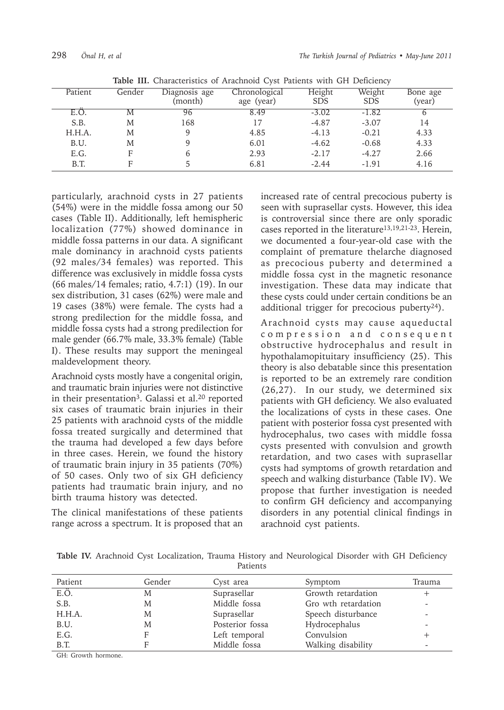| Patient | Gender | Diagnosis age<br>(month) | Chronological<br>age (year) | Height<br><b>SDS</b> | Weight<br><b>SDS</b> | Bone age<br>(year) |
|---------|--------|--------------------------|-----------------------------|----------------------|----------------------|--------------------|
| E.O     | M      | 96                       | 8.49                        | $-3.02$              | $-1.82$              |                    |
| S.B.    | M      | 168                      | 17                          | $-4.87$              | $-3.07$              | 14                 |
| H.H.A.  | M      |                          | 4.85                        | $-4.13$              | $-0.21$              | 4.33               |
| B.U.    | M      |                          | 6.01                        | $-4.62$              | $-0.68$              | 4.33               |
| E.G.    | Е      |                          | 2.93                        | $-2.17$              | $-4.27$              | 2.66               |
| B.T.    | Е      |                          | 6.81                        | $-2.44$              | $-1.91$              | 4.16               |

**Table III.** Characteristics of Arachnoid Cyst Patients with GH Deficiency

particularly, arachnoid cysts in 27 patients (54%) were in the middle fossa among our 50 cases (Table II). Additionally, left hemispheric localization (77%) showed dominance in middle fossa patterns in our data. A significant male dominancy in arachnoid cysts patients (92 males/34 females) was reported. This difference was exclusively in middle fossa cysts (66 males/14 females; ratio, 4.7:1) (19). In our sex distribution, 31 cases (62%) were male and 19 cases (38%) were female. The cysts had a strong predilection for the middle fossa, and middle fossa cysts had a strong predilection for male gender (66.7% male, 33.3% female) (Table I). These results may support the meningeal maldevelopment theory.

Arachnoid cysts mostly have a congenital origin, and traumatic brain injuries were not distinctive in their presentation<sup>3</sup>. Galassi et al.<sup>20</sup> reported six cases of traumatic brain injuries in their 25 patients with arachnoid cysts of the middle fossa treated surgically and determined that the trauma had developed a few days before in three cases. Herein, we found the history of traumatic brain injury in 35 patients (70%) of 50 cases. Only two of six GH deficiency patients had traumatic brain injury, and no birth trauma history was detected.

The clinical manifestations of these patients range across a spectrum. It is proposed that an

increased rate of central precocious puberty is seen with suprasellar cysts. However, this idea is controversial since there are only sporadic cases reported in the literature<sup>13,19,21-23</sup>. Herein. we documented a four-year-old case with the complaint of premature thelarche diagnosed as precocious puberty and determined a middle fossa cyst in the magnetic resonance investigation. These data may indicate that these cysts could under certain conditions be an additional trigger for precocious puberty $24$ ).

Arachnoid cysts may cause aqueductal c o m p r e s s i o n a n d c o n s e q u e n t obstructive hydrocephalus and result in hypothalamopituitary insufficiency (25). This theory is also debatable since this presentation is reported to be an extremely rare condition (26,27). In our study, we determined six patients with GH deficiency. We also evaluated the localizations of cysts in these cases. One patient with posterior fossa cyst presented with hydrocephalus, two cases with middle fossa cysts presented with convulsion and growth retardation, and two cases with suprasellar cysts had symptoms of growth retardation and speech and walking disturbance (Table IV). We propose that further investigation is needed to confirm GH deficiency and accompanying disorders in any potential clinical findings in arachnoid cyst patients.

|  |  | Table IV. Arachnoid Cyst Localization, Trauma History and Neurological Disorder with GH Deficiency |                 |  |  |  |  |
|--|--|----------------------------------------------------------------------------------------------------|-----------------|--|--|--|--|
|  |  |                                                                                                    | <b>Patients</b> |  |  |  |  |

| Patient | Gender | Cyst area       | Symptom             | Trauma |
|---------|--------|-----------------|---------------------|--------|
| E.Ö.    | M      | Suprasellar     | Growth retardation  |        |
| S.B.    | M      | Middle fossa    | Gro wth retardation |        |
| H.H.A.  | M      | Suprasellar     | Speech disturbance  |        |
| B.U.    | M      | Posterior fossa | Hydrocephalus       |        |
| E.G.    | F      | Left temporal   | Convulsion          |        |
| B.T.    |        | Middle fossa    | Walking disability  |        |
|         |        |                 |                     |        |

GH: Growth hormone.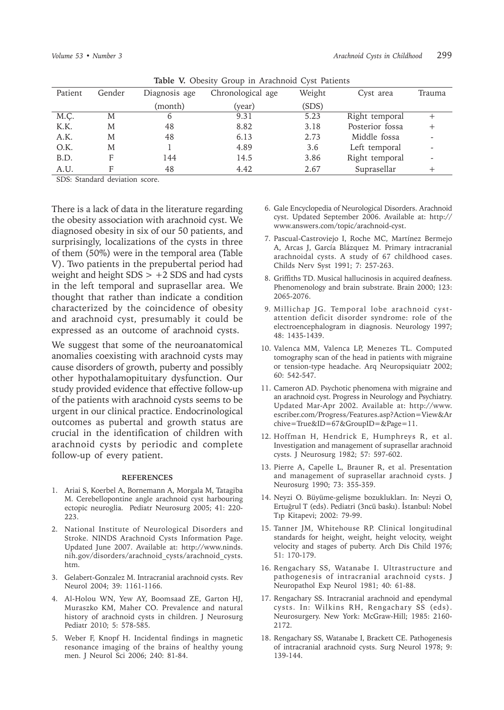| <b>Table V.</b> Obesity Group in Alachiloru Cyst Fatients |        |               |                   |        |                 |        |  |  |
|-----------------------------------------------------------|--------|---------------|-------------------|--------|-----------------|--------|--|--|
| Patient                                                   | Gender | Diagnosis age | Chronological age | Weight | Cyst area       | Trauma |  |  |
|                                                           |        | (month)       | (year)            | (SDS)  |                 |        |  |  |
| M.C.                                                      | M      | 6             | 9.31              | 5.23   | Right temporal  |        |  |  |
| K.K.                                                      | M      | 48            | 8.82              | 3.18   | Posterior fossa |        |  |  |
| A.K.                                                      | M      | 48            | 6.13              | 2.73   | Middle fossa    |        |  |  |
| O.K.                                                      | M      |               | 4.89              | 3.6    | Left temporal   |        |  |  |
| B.D.                                                      | F      | 144           | 14.5              | 3.86   | Right temporal  |        |  |  |
| A.U.                                                      |        | 48            | 4.42              | 2.67   | Suprasellar     |        |  |  |

**Table V.** Obesity Group in Arachnoid Cyst Patients

SDS: Standard deviation score.

There is a lack of data in the literature regarding the obesity association with arachnoid cyst. We diagnosed obesity in six of our 50 patients, and surprisingly, localizations of the cysts in three of them (50%) were in the temporal area (Table V). Two patients in the prepubertal period had weight and height  $SDS > +2$  SDS and had cysts in the left temporal and suprasellar area. We thought that rather than indicate a condition characterized by the coincidence of obesity and arachnoid cyst, presumably it could be expressed as an outcome of arachnoid cysts.

We suggest that some of the neuroanatomical anomalies coexisting with arachnoid cysts may cause disorders of growth, puberty and possibly other hypothalamopituitary dysfunction. Our study provided evidence that effective follow-up of the patients with arachnoid cysts seems to be urgent in our clinical practice. Endocrinological outcomes as pubertal and growth status are crucial in the identification of children with arachnoid cysts by periodic and complete follow-up of every patient.

#### **REFERENCES**

- 1. Ariai S, Koerbel A, Bornemann A, Morgala M, Tatagiba M. Cerebellopontine angle arachnoid cyst harbouring ectopic neuroglia. Pediatr Neurosurg 2005; 41: 220- 223.
- 2. National Institute of Neurological Disorders and Stroke. NINDS Arachnoid Cysts Information Page. Updated June 2007. Available at: http://www.ninds. nih.gov/disorders/arachnoid\_cysts/arachnoid\_cysts. htm.
- 3. Gelabert-Gonzalez M. Intracranial arachnoid cysts. Rev Neurol 2004; 39: 1161-1166.
- 4. Al-Holou WN, Yew AY, Boomsaad ZE, Garton HJ, Muraszko KM, Maher CO. Prevalence and natural history of arachnoid cysts in children. J Neurosurg Pediatr 2010; 5: 578-585.
- 5. Weber F, Knopf H. Incidental findings in magnetic resonance imaging of the brains of healthy young men. J Neurol Sci 2006; 240: 81-84.
- 6. Gale Encyclopedia of Neurological Disorders. Arachnoid cyst. Updated September 2006. Available at: http:// www.answers.com/topic/arachnoid-cyst.
- 7. Pascual-Castroviejo I, Roche MC, Martínez Bermejo A, Arcas J, García Blázquez M. Primary intracranial arachnoidal cysts. A study of 67 childhood cases. Childs Nerv Syst 1991; 7: 257-263.
- 8. Griffiths TD. Musical hallucinosis in acquired deafness. Phenomenology and brain substrate. Brain 2000; 123: 2065-2076.
- 9. Millichap JG. Temporal lobe arachnoid cystattention deficit disorder syndrome: role of the electroencephalogram in diagnosis. Neurology 1997; 48: 1435-1439.
- 10. Valenca MM, Valenca LP, Menezes TL. Computed tomography scan of the head in patients with migraine or tension-type headache. Arq Neuropsiquiatr 2002; 60: 542-547.
- 11. Cameron AD. Psychotic phenomena with migraine and an arachnoid cyst. Progress in Neurology and Psychiatry. Updated Mar-Apr 2002. Available at: http://www. escriber.com/Progress/Features.asp?Action=View&Ar chive=True&ID=67&GroupID=&Page=11.
- 12. Hoffman H, Hendrick E, Humphreys R, et al. Investigation and management of suprasellar arachnoid cysts. J Neurosurg 1982; 57: 597-602.
- 13. Pierre A, Capelle L, Brauner R, et al. Presentation and management of suprasellar arachnoid cysts. J Neurosurg 1990; 73: 355-359.
- 14. Neyzi O. Büyüme-gelişme bozuklukları. In: Neyzi O, Ertuğrul T (eds). Pediatri (3ncü baskı). İstanbul: Nobel Tıp Kitapevi; 2002: 79-99.
- 15. Tanner JM, Whitehouse RP. Clinical longitudinal standards for height, weight, height velocity, weight velocity and stages of puberty. Arch Dis Child 1976; 51: 170-179.
- 16. Rengachary SS, Watanabe I. Ultrastructure and pathogenesis of intracranial arachnoid cysts. J Neuropathol Exp Neurol 1981; 40: 61-88.
- 17. Rengachary SS. Intracranial arachnoid and ependymal cysts. In: Wilkins RH, Rengachary SS (eds). Neurosurgery. New York: McGraw-Hill; 1985: 2160- 2172.
- 18. Rengachary SS, Watanabe I, Brackett CE. Pathogenesis of intracranial arachnoid cysts. Surg Neurol 1978; 9: 139-144.